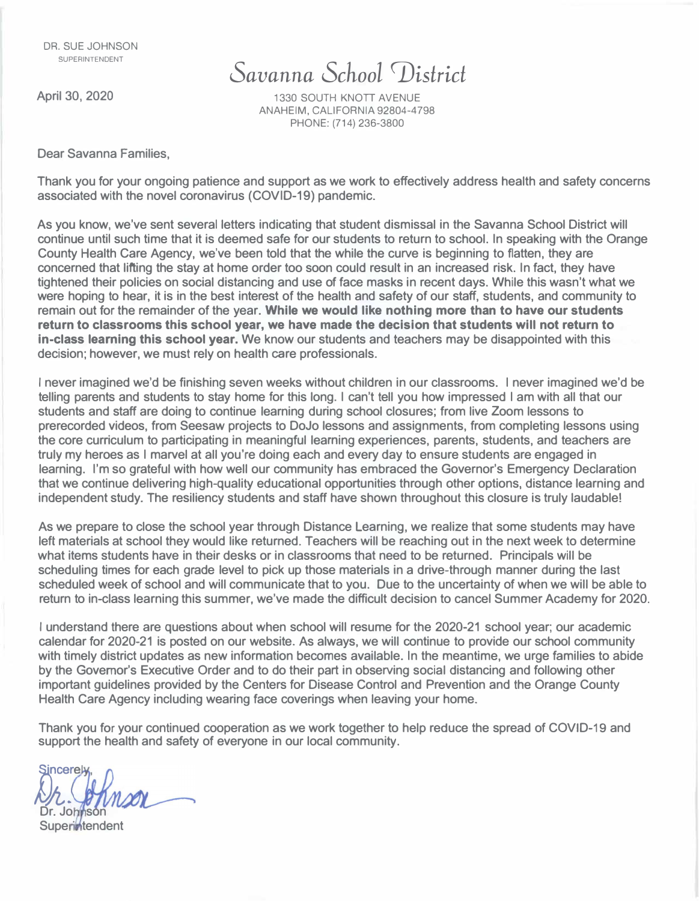## *Savanna School �istrict*

**April 30, 2020** 

1330 SOUTH KNOTT AVENUE ANAHEIM, CALIFORNIA 92804-4798 PHONE: (714) 236-3800

**Dear Savanna Families,** 

**Thank you for your ongoing patience and support as we work to effectively address health and safety concerns associated with the novel coronavirus (COVID-19) pandemic.** 

**As you know, we've sent several letters indicating that student dismissal in the Savanna School District will continue until such time that it is deemed safe for our students to return to school. In speaking with the Orange County Health Care Agency, we've been told that the while the curve is beginning to flatten, they are concerned that lifting the stay at home order too soon could result in an increased risk. In fact, they have tightened their policies on social distancing and use of face masks in recent days. While this wasn't what we were hoping to hear, it is in the best interest of the health and safety of our staff, students, and community to remain out for the remainder of the year. While we would like nothing more than to have our students return to classrooms this school year, we have made the decision that students will not return to in-class learning this school year.** We know our students and teachers may be disappointed with this **decision; however, we must rely on health care professionals.** 

**I never imagined we'd be finishing seven weeks without children in our classrooms. I never imagined we'd be telling parents and students to stay home for this long. I can't tell you how impressed I am with all that our students and staff are doing to continue learning during school closures; from live Zoom lessons to prerecorded videos, from Seesaw projects to DoJo lessons and assignments, from completing lessons using the core curriculum to participating in meaningful learning experiences, parents, students, and teachers are truly my heroes as I marvel at all you're doing each and every day to ensure students are engaged in learning. I'm so grateful with how well our community has embraced the Governor's Emergency Declaration that we continue delivering high-quality educational opportunities through other options, distance learning and independent study. The resiliency students and staff have shown throughout this closure is truly laudable!** 

**As we prepare to close the school year through Distance Learning, we realize that some students may have left materials at school they would like returned. Teachers will be reaching out in the next week to determine what items students have in their desks or in classrooms that need to be returned. Principals will be scheduling times for each grade level to pick up those materials in a drive-through manner during the last scheduled week of school and will communicate that to you. Due to the uncertainty of when we will be able to return to in-class learning this summer, we've made the difficult decision to cancel Summer Academy for 2020.** 

**I understand there are questions about when school will resume for the 2020-21 school year; our academic calendar for 2020-21 is posted on our website. As always, we will continue to provide our school community with timely district updates as new information becomes available. In the meantime, we urge families to abide by the Governor's Executive Order and to do their part in observing social distancing and following other important guidelines provided by the Centers for Disease Control and Prevention and the Orange County Health Care Agency including wearing face coverings when leaving your home.** 

**Thank you for your continued cooperation as we work together to help reduce the spread of COVID-19 and support the health and safety of everyone in our local community.** 

 $S$ *incerely* Dr. Joh**n**son

**Superintendent**